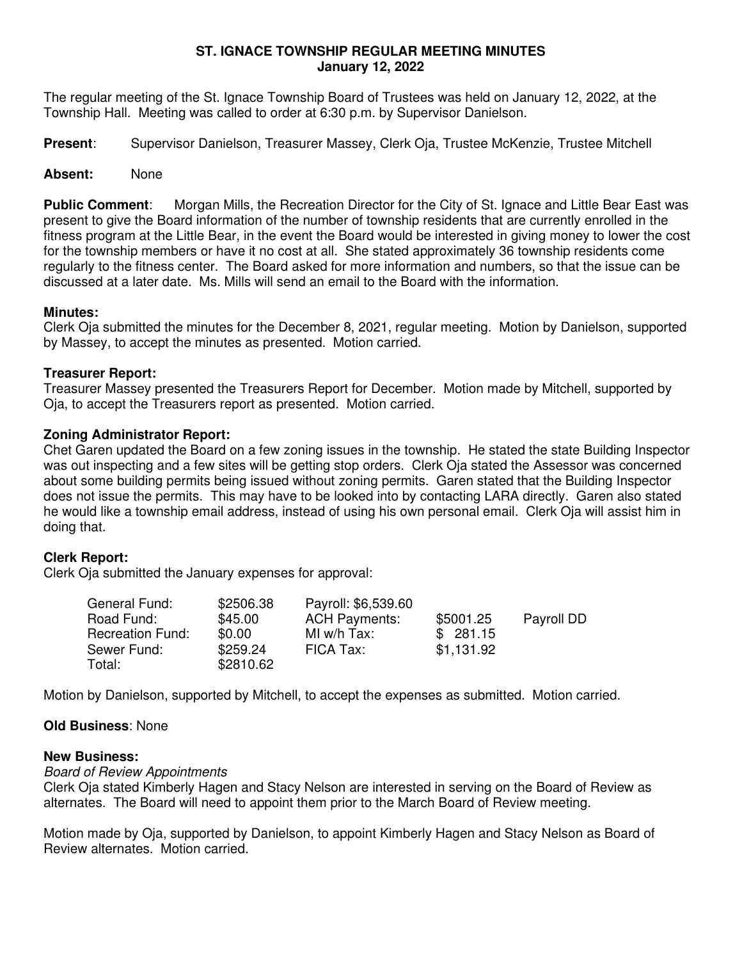### **ST. IGNACE TOWNSHIP REGULAR MEETING MINUTES January 12, 2022**

The regular meeting of the St. Ignace Township Board of Trustees was held on January 12, 2022, at the Township Hall. Meeting was called to order at 6:30 p.m. by Supervisor Danielson.

**Present**: Supervisor Danielson, Treasurer Massey, Clerk Oja, Trustee McKenzie, Trustee Mitchell

## **Absent:** None

**Public Comment**: Morgan Mills, the Recreation Director for the City of St. Ignace and Little Bear East was present to give the Board information of the number of township residents that are currently enrolled in the fitness program at the Little Bear, in the event the Board would be interested in giving money to lower the cost for the township members or have it no cost at all. She stated approximately 36 township residents come regularly to the fitness center. The Board asked for more information and numbers, so that the issue can be discussed at a later date. Ms. Mills will send an email to the Board with the information.

## **Minutes:**

Clerk Oja submitted the minutes for the December 8, 2021, regular meeting. Motion by Danielson, supported by Massey, to accept the minutes as presented. Motion carried.

## **Treasurer Report:**

Treasurer Massey presented the Treasurers Report for December. Motion made by Mitchell, supported by Oja, to accept the Treasurers report as presented. Motion carried.

## **Zoning Administrator Report:**

Chet Garen updated the Board on a few zoning issues in the township. He stated the state Building Inspector was out inspecting and a few sites will be getting stop orders. Clerk Oja stated the Assessor was concerned about some building permits being issued without zoning permits. Garen stated that the Building Inspector does not issue the permits. This may have to be looked into by contacting LARA directly. Garen also stated he would like a township email address, instead of using his own personal email. Clerk Oja will assist him in doing that.

# **Clerk Report:**

Clerk Oja submitted the January expenses for approval:

| General Fund:           | \$2506.38 | Payroll: \$6,539.60  |            |            |
|-------------------------|-----------|----------------------|------------|------------|
| Road Fund:              | \$45.00   | <b>ACH Payments:</b> | \$5001.25  | Payroll DD |
| <b>Recreation Fund:</b> | \$0.00    | MI w/h Tax:          | \$281.15   |            |
| Sewer Fund:             | \$259.24  | FICA Tax:            | \$1,131.92 |            |
| Total:                  | \$2810.62 |                      |            |            |

Motion by Danielson, supported by Mitchell, to accept the expenses as submitted. Motion carried.

### **Old Business**: None

### **New Business:**

Board of Review Appointments

Clerk Oja stated Kimberly Hagen and Stacy Nelson are interested in serving on the Board of Review as alternates. The Board will need to appoint them prior to the March Board of Review meeting.

Motion made by Oja, supported by Danielson, to appoint Kimberly Hagen and Stacy Nelson as Board of Review alternates. Motion carried.